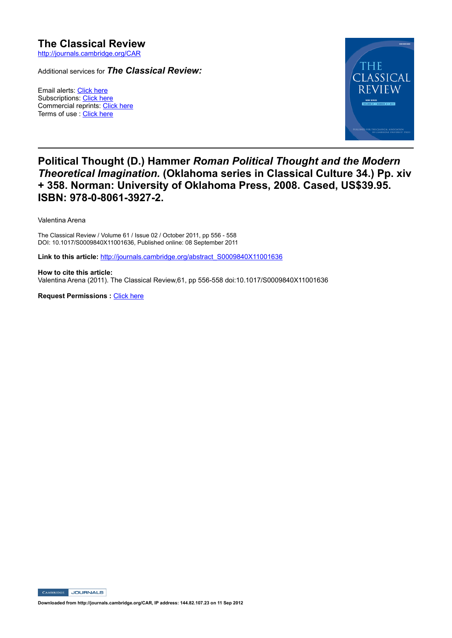## **The Classical Review** http://journals.cambridge.org/CAR

Additional services for *The Classical Review:*

Email alerts: Click here Subscriptions: Click here Commercial reprints: Click here Terms of use : Click here



## **Political Thought (D.) Hammer** *Roman Political Thought and the Modern Theoretical Imagination.* **(Oklahoma series in Classical Culture 34.) Pp. xiv + 358. Norman: University of Oklahoma Press, 2008. Cased, US\$39.95. ISBN: 978-0-8061-3927-2.**

Valentina Arena

The Classical Review / Volume 61 / Issue 02 / October 2011, pp 556 - 558 DOI: 10.1017/S0009840X11001636, Published online: 08 September 2011

Link to this article: http://journals.cambridge.org/abstract\_S0009840X11001636

**How to cite this article:** Valentina Arena (2011). The Classical Review,61, pp 556558 doi:10.1017/S0009840X11001636

**Request Permissions : Click here** 

CAMBRIDGE JOURNALS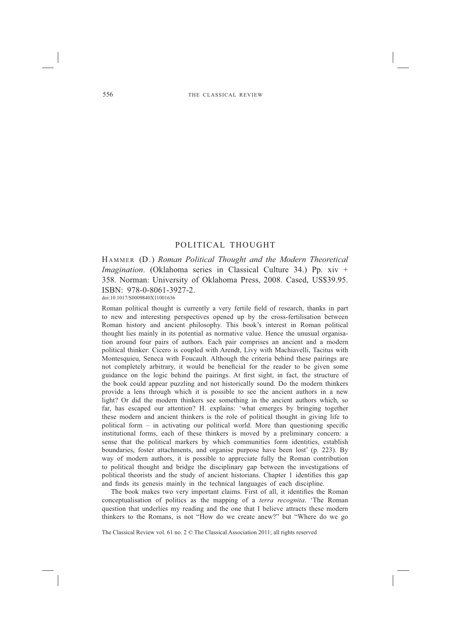## POLITICAL THOUGHT

HAMMER (D.) *Roman Political Thought and the Modern Theoretical Imagination.* (Oklahoma series in Classical Culture 34.) Pp. xiv + 358. Norman: University of Oklahoma Press, 2008. Cased, US\$39.95. ISBN: 978-0-8061-3927-2.

doi:10.1017/S0009840X11001636

Roman political thought is currently a very fertile field of research, thanks in part to new and interesting perspectives opened up by the cross-fertilisation between Roman history and ancient philosophy. This book's interest in Roman political thought lies mainly in its potential as normative value. Hence the unusual organisation around four pairs of authors. Each pair comprises an ancient and a modern political thinker: Cicero is coupled with Arendt, Livy with Machiavelli, Tacitus with Montesquieu, Seneca with Foucault. Although the criteria behind these pairings are not completely arbitrary, it would be beneficial for the reader to be given some guidance on the logic behind the pairings. At first sight, in fact, the structure of the book could appear puzzling and not historically sound. Do the modern thinkers provide a lens through which it is possible to see the ancient authors in a new light? Or did the modern thinkers see something in the ancient authors which, so far, has escaped our attention? H. explains: 'what emerges by bringing together these modern and ancient thinkers is the role of political thought in giving life to political form  $-$  in activating our political world. More than questioning specific institutional forms, each of these thinkers is moved by a preliminary concern: a sense that the political markers by which communities form identities, establish boundaries, foster attachments, and organise purpose have been lost' (p. 223). By way of modern authors, it is possible to appreciate fully the Roman contribution to political thought and bridge the disciplinary gap between the investigations of political theorists and the study of ancient historians. Chapter  $1$  identifies this gap and finds its genesis mainly in the technical languages of each discipline.

The book makes two very important claims. First of all, it identifies the Roman conceptualisation of politics as the mapping of a *terra recognita*. 'The Roman question that underlies my reading and the one that I believe attracts these modern thinkers to the Romans, is not "How do we create anew?" but "Where do we go

The Classical Review vol. 61 no. 2 © The Classical Association 2011; all rights reserved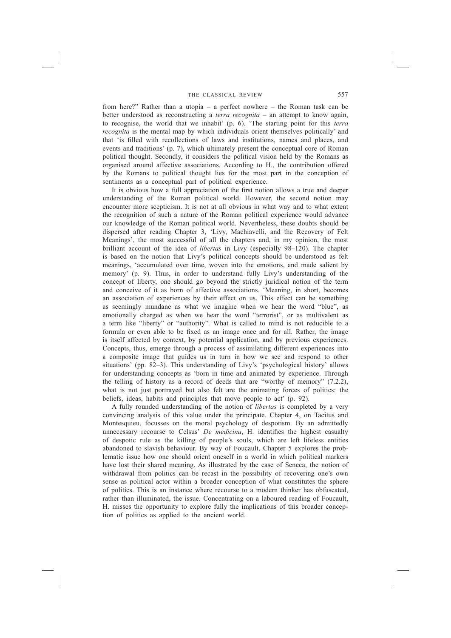from here?" Rather than a utopia – a perfect nowhere – the Roman task can be better understood as reconstructing a *terra recognita* – an attempt to know again, to recognise, the world that we inhabit' (p. 6). 'The starting point for this *terra recognita* is the mental map by which individuals orient themselves politically' and that 'is filled with recollections of laws and institutions, names and places, and events and traditions' (p. 7), which ultimately present the conceptual core of Roman political thought. Secondly, it considers the political vision held by the Romans as organised around affective associations. According to H., the contribution offered by the Romans to political thought lies for the most part in the conception of sentiments as a conceptual part of political experience.

It is obvious how a full appreciation of the first notion allows a true and deeper understanding of the Roman political world. However, the second notion may encounter more scepticism. It is not at all obvious in what way and to what extent the recognition of such a nature of the Roman political experience would advance our knowledge of the Roman political world. Nevertheless, these doubts should be dispersed after reading Chapter 3, 'Livy, Machiavelli, and the Recovery of Felt Meanings', the most successful of all the chapters and, in my opinion, the most brilliant account of the idea of *libertas* in Livy (especially 98–120). The chapter is based on the notion that Livy's political concepts should be understood as felt meanings, 'accumulated over time, woven into the emotions, and made salient by memory' (p. 9). Thus, in order to understand fully Livy's understanding of the concept of liberty, one should go beyond the strictly juridical notion of the term and conceive of it as born of affective associations. 'Meaning, in short, becomes an association of experiences by their effect on us. This effect can be something as seemingly mundane as what we imagine when we hear the word "blue", as emotionally charged as when we hear the word "terrorist", or as multivalent as a term like "liberty" or "authority". What is called to mind is not reducible to a formula or even able to be fixed as an image once and for all. Rather, the image is itself affected by context, by potential application, and by previous experiences. Concepts, thus, emerge through a process of assimilating different experiences into a composite image that guides us in turn in how we see and respond to other situations' (pp. 82–3). This understanding of Livy's 'psychological history' allows for understanding concepts as 'born in time and animated by experience. Through the telling of history as a record of deeds that are "worthy of memory" (7.2.2), what is not just portrayed but also felt are the animating forces of politics: the beliefs, ideas, habits and principles that move people to act' (p. 92).

 A fully rounded understanding of the notion of *libertas* is completed by a very convincing analysis of this value under the principate. Chapter 4, on Tacitus and Montesquieu, focusses on the moral psychology of despotism. By an admittedly unnecessary recourse to Celsus' *De medicina*, H. identifies the highest casualty of despotic rule as the killing of people's souls, which are left lifeless entities abandoned to slavish behaviour. By way of Foucault, Chapter 5 explores the problematic issue how one should orient oneself in a world in which political markers have lost their shared meaning. As illustrated by the case of Seneca, the notion of withdrawal from politics can be recast in the possibility of recovering one's own sense as political actor within a broader conception of what constitutes the sphere of politics. This is an instance where recourse to a modern thinker has obfuscated, rather than illuminated, the issue. Concentrating on a laboured reading of Foucault, H. misses the opportunity to explore fully the implications of this broader conception of politics as applied to the ancient world.